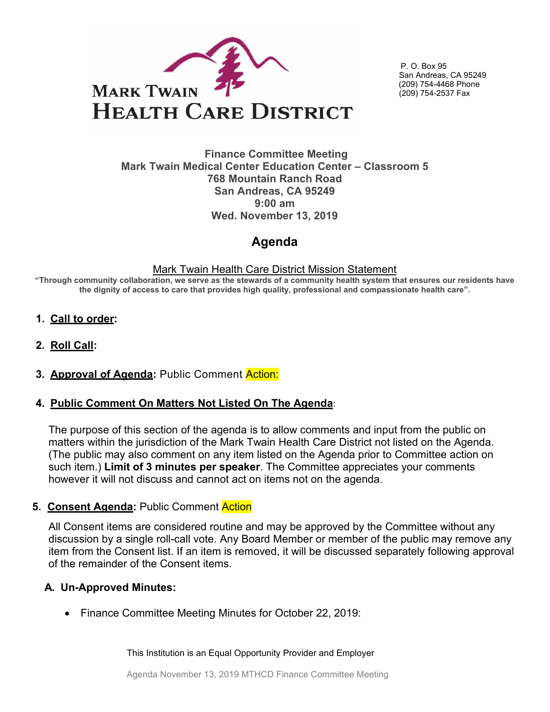

P. O. Box 95 San Andreas, CA 95249 (209) 754-4468 Phone (209) 754-2537 Fax

#### **Finance Committee Meeting Mark Twain Medical Center Education Center – Classroom 5 768 Mountain Ranch Road San Andreas, CA 95249 9:00 am Wed. November 13, 2019**

# **Agenda**

#### Mark Twain Health Care District Mission Statement

**"Through community collaboration, we serve as the stewards of a community health system that ensures our residents have the dignity of access to care that provides high quality, professional and compassionate health care".**

- **1. Call to order:**
- **2. Roll Call:**
- **3. Approval of Agenda:** Public Comment Action:

## **4. Public Comment On Matters Not Listed On The Agenda**:

The purpose of this section of the agenda is to allow comments and input from the public on matters within the jurisdiction of the Mark Twain Health Care District not listed on the Agenda. (The public may also comment on any item listed on the Agenda prior to Committee action on such item.) **Limit of 3 minutes per speaker**. The Committee appreciates your comments however it will not discuss and cannot act on items not on the agenda.

## **5. Consent Agenda:** Public Comment Action

All Consent items are considered routine and may be approved by the Committee without any discussion by a single roll-call vote. Any Board Member or member of the public may remove any item from the Consent list. If an item is removed, it will be discussed separately following approval of the remainder of the Consent items.

## **A. Un-Approved Minutes:**

• Finance Committee Meeting Minutes for October 22, 2019:

This Institution is an Equal Opportunity Provider and Employer